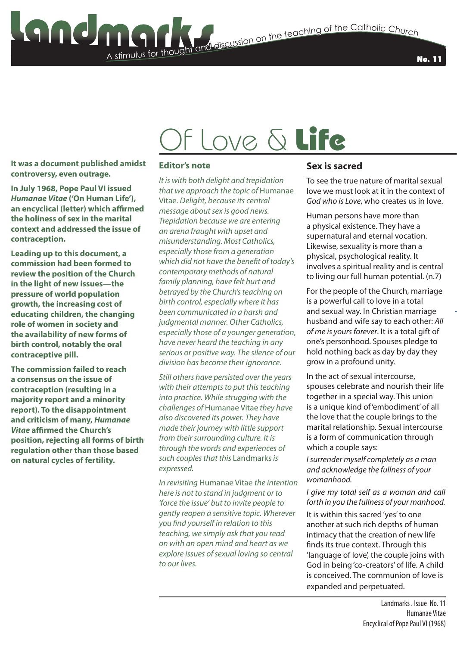No. 11

### Of Love & Life

**It was a document published amidst controversy, even outrage.**

**In July 1968, Pope Paul VI issued**  *Humanae Vitae* **('On Human Life'), an encyclical (letter) which affirmed the holiness of sex in the marital context and addressed the issue of contraception.**

**Leading up to this document, a commission had been formed to review the position of the Church in the light of new issues—the pressure of world population growth, the increasing cost of educating children, the changing role of women in society and the availability of new forms of birth control, notably the oral contraceptive pill.**

**The commission failed to reach a consensus on the issue of contraception (resulting in a majority report and a minority report). To the disappointment and criticism of many,** *Humanae Vitae* **affirmed the Church's position, rejecting all forms of birth regulation other than those based on natural cycles of fertility.**

#### **Editor's note**

A stimulus for thought

*It is with both delight and trepidation that we approach the topic of* Humanae Vitae*. Delight, because its central message about sex is good news. Trepidation because we are entering an arena fraught with upset and misunderstanding. Most Catholics, especially those from a generation which did not have the benefit of today's contemporary methods of natural family planning, have felt hurt and betrayed by the Church's teaching on birth control, especially where it has been communicated in a harsh and judgmental manner. Other Catholics, especially those of a younger generation, have never heard the teaching in any serious or positive way. The silence of our division has become their ignorance.* 

*Still others have persisted over the years with their attempts to put this teaching into practice. While strugging with the challenges of* Humanae Vitae *they have also discovered its power. They have made their journey with little support from their surrounding culture. It is through the words and experiences of such couples that this* Landmarks *is expressed.*

*In revisiting* Humanae Vitae *the intention here is not to stand in judgment or to 'force the issue' but to invite people to gently reopen a sensitive topic. Wherever you find yourself in relation to this teaching, we simply ask that you read on with an open mind and heart as we explore issues of sexual loving so central to our lives.*

#### **Sex is sacred**

To see the true nature of marital sexual love we must look at it in the context of *God who is Love*, who creates us in love.

Human persons have more than a physical existence. They have a supernatural and eternal vocation. Likewise, sexuality is more than a physical, psychological reality. It involves a spiritual reality and is central to living our full human potential. (n.7)

For the people of the Church, marriage is a powerful call to love in a total and sexual way. In Christian marriage husband and wife say to each other: *All of me is yours forever*. It is a total gift of one's personhood. Spouses pledge to hold nothing back as day by day they grow in a profound unity.

In the act of sexual intercourse, spouses celebrate and nourish their life together in a special way. This union is a unique kind of 'embodiment' of all the love that the couple brings to the marital relationship. Sexual intercourse is a form of communication through which a couple says:

*I surrender myself completely as a man and acknowledge the fullness of your womanhood.*

#### *I give my total self as a woman and call forth in you the fullness of your manhood.*

It is within this sacred 'yes' to one another at such rich depths of human intimacy that the creation of new life finds its true context. Through this 'language of love', the couple joins with God in being 'co-creators' of life. A child is conceived. The communion of love is expanded and perpetuated.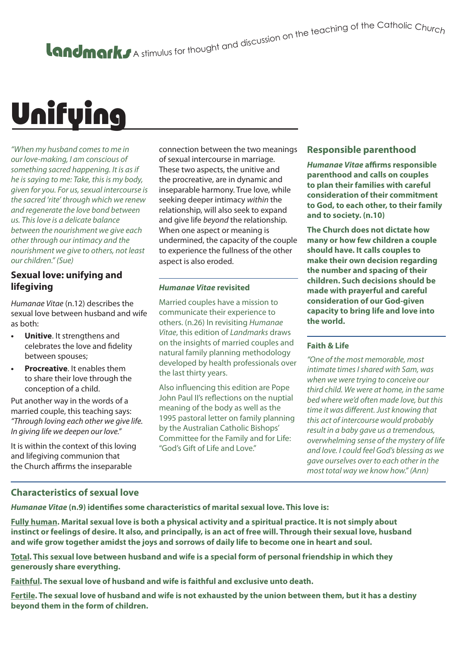# Unifying

*"When my husband comes to me in our love-making, I am conscious of something sacred happening. It is as if he is saying to me: Take, this is my body, given for you. For us, sexual intercourse is the sacred 'rite' through which we renew and regenerate the love bond between us. This love is a delicate balance between the nourishment we give each other through our intimacy and the nourishment we give to others, not least our children." (Sue)* 

#### **Sexual love: unifying and lifegiving**

*Humanae Vitae* (n.12) describes the sexual love between husband and wife as both:

- **• Unitive**. It strengthens and celebrates the love and fidelity between spouses;
- **• Procreative**. It enables them to share their love through the conception of a child.

Put another way in the words of a married couple, this teaching says: *"Through loving each other we give life. In giving life we deepen our love."*

It is within the context of this loving and lifegiving communion that the Church affirms the inseparable

connection between the two meanings of sexual intercourse in marriage. These two aspects, the unitive and the procreative, are in dynamic and inseparable harmony. True love, while seeking deeper intimacy *within* the relationship, will also seek to expand and give life *beyond* the relationship. When one aspect or meaning is undermined, the capacity of the couple to experience the fullness of the other aspect is also eroded.

#### *Humanae Vitae* **revisited**

Married couples have a mission to communicate their experience to others. (n.26) In revisiting *Humanae Vitae*, this edition of *Landmarks* draws on the insights of married couples and natural family planning methodology developed by health professionals over the last thirty years.

Also influencing this edition are Pope John Paul II's reflections on the nuptial meaning of the body as well as the 1995 pastoral letter on family planning by the Australian Catholic Bishops' Committee for the Family and for Life: "God's Gift of Life and Love."

#### **Responsible parenthood**

*Humanae Vitae* **affirms responsible parenthood and calls on couples to plan their families with careful consideration of their commitment to God, to each other, to their family and to society. (n.10)**

**The Church does not dictate how many or how few children a couple should have. It calls couples to make their own decision regarding the number and spacing of their children. Such decisions should be made with prayerful and careful consideration of our God-given capacity to bring life and love into the world.**

#### **Faith & Life**

*"One of the most memorable, most intimate times I shared with Sam, was when we were trying to conceive our third child. We were at home, in the same bed where we'd often made love, but this time it was different. Just knowing that this act of intercourse would probably result in a baby gave us a tremendous, overwhelming sense of the mystery of life and love. I could feel God's blessing as we gave ourselves over to each other in the most total way we know how." (Ann)* 

#### **Characteristics of sexual love**

*Humanae Vitae* **(n.9) identifies some characteristics of marital sexual love. This love is:**

**Fully human. Marital sexual love is both a physical activity and a spiritual practice. It is not simply about instinct or feelings of desire. It also, and principally, is an act of free will. Through their sexual love, husband and wife grow together amidst the joys and sorrows of daily life to become one in heart and soul.**

**Total. This sexual love between husband and wife is a special form of personal friendship in which they generously share everything.**

**Faithful. The sexual love of husband and wife is faithful and exclusive unto death.**

**Fertile. The sexual love of husband and wife is not exhausted by the union between them, but it has a destiny beyond them in the form of children.**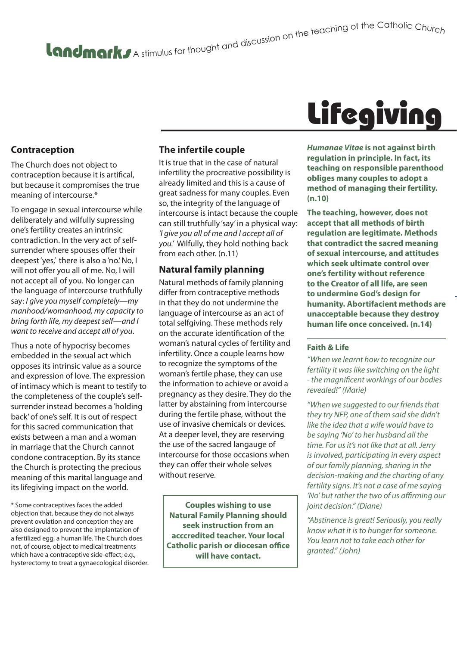## A stimulus for thought and discussion on the teaching of the Catholic Churc<sub>h</sub>

#### **Contraception**

The Church does not object to contraception because it is artifical, but because it compromises the true meaning of intercourse.\*

To engage in sexual intercourse while deliberately and wilfully supressing one's fertility creates an intrinsic contradiction. In the very act of selfsurrender where spouses offer their deepest 'yes,' there is also a 'no.' No, I will not offer you all of me. No, I will not accept all of you. No longer can the language of intercourse truthfully say: *I give you myself completely—my manhood/womanhood, my capacity to bring forth life, my deepest self—and I want to receive and accept all of you*.

Thus a note of hypocrisy becomes embedded in the sexual act which opposes its intrinsic value as a source and expression of love. The expression of intimacy which is meant to testify to the completeness of the couple's selfsurrender instead becomes a 'holding back' of one's self. It is out of respect for this sacred communication that exists between a man and a woman in marriage that the Church cannot condone contraception. By its stance the Church is protecting the precious meaning of this marital language and its lifegiving impact on the world.

\* Some contraceptives faces the added objection that, because they do not always prevent ovulation and conception they are also designed to prevent the implantation of a fertilized egg, a human life. The Church does not, of course, object to medical treatments which have a contraceptive side-effect; e.g., hysterectomy to treat a gynaecological disorder.

#### **The infertile couple**

It is true that in the case of natural infertility the procreative possibility is already limited and this is a cause of great sadness for many couples. Even so, the integrity of the language of intercourse is intact because the couple can still truthfully 'say' in a physical way: *'I give you all of me and I accept all of you.'* Wilfully, they hold nothing back from each other. (n.11)

#### **Natural family planning**

Natural methods of family planning differ from contraceptive methods in that they do not undermine the language of intercourse as an act of total selfgiving. These methods rely on the accurate identification of the woman's natural cycles of fertility and infertility. Once a couple learns how to recognize the symptoms of the woman's fertile phase, they can use the information to achieve or avoid a pregnancy as they desire. They do the latter by abstaining from intercourse during the fertile phase, without the use of invasive chemicals or devices. At a deeper level, they are reserving the use of the sacred langauge of intercourse for those occasions when they can offer their whole selves without reserve.

**Couples wishing to use Natural Family Planning should seek instruction from an acccredited teacher. Your local Catholic parish or diocesan office will have contact.**

## **Lifegiving**

*Humanae Vitae* **is not against birth regulation in principle. In fact, its teaching on responsible parenthood obliges many couples to adopt a method of managing their fertility. (n.10)**

**The teaching, however, does not accept that all methods of birth regulation are legitimate. Methods that contradict the sacred meaning of sexual intercourse, and attitudes which seek ultimate control over one's fertility without reference to the Creator of all life, are seen to undermine God's design for humanity. Abortifacient methods are unacceptable because they destroy human life once conceived. (n.14)**

#### **Faith & Life**

*"When we learnt how to recognize our fertility it was like switching on the light - the magnificent workings of our bodies revealed!" (Marie)* 

*"When we suggested to our friends that they try NFP, one of them said she didn't like the idea that a wife would have to be saying 'No' to her husband all the time. For us it's not like that at all. Jerry is involved, participating in every aspect of our family planning, sharing in the decision-making and the charting of any fertility signs. It's not a case of me saying 'No' but rather the two of us affirming our joint decision." (Diane)*

*"Abstinence is great! Seriously, you really know what it is to hunger for someone. You learn not to take each other for granted." (John)*